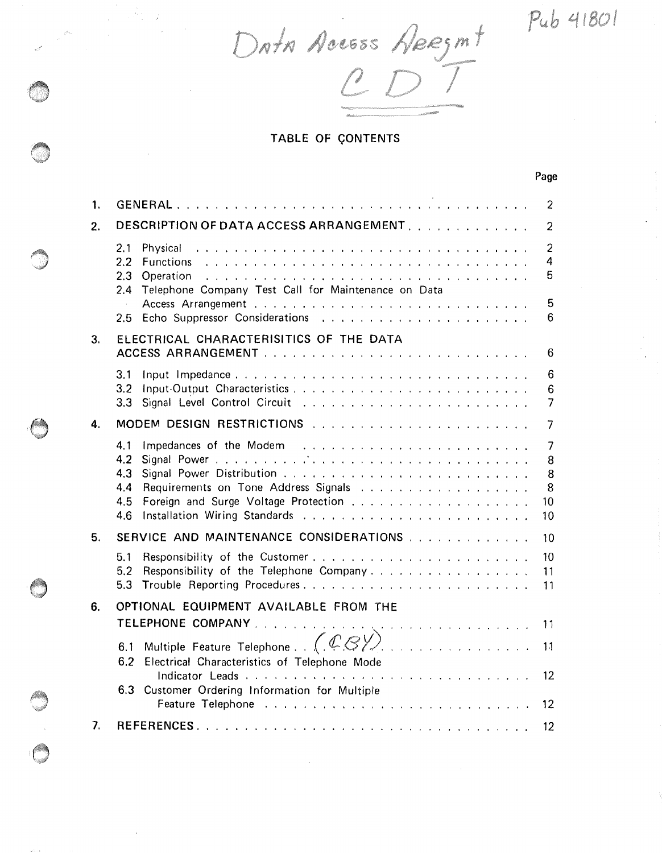Pub 41801

Page

Data Access Apezant

TABLE OF CONTENTS

|    | г аус                                                                                                                                                                     |  |
|----|---------------------------------------------------------------------------------------------------------------------------------------------------------------------------|--|
| 1. | GENERAL<br>2                                                                                                                                                              |  |
| 2. | DESCRIPTION OF DATA ACCESS ARRANGEMENT.<br>2                                                                                                                              |  |
|    | $\overline{2}$<br>2.1<br>Physical<br>4<br><b>Functions</b><br>2.2<br>5<br>2,3<br>Operation<br>Telephone Company Test Call for Maintenance on Data<br>2.4<br>5<br>6<br>2.5 |  |
| 3. | ELECTRICAL CHARACTERISITICS OF THE DATA<br>6                                                                                                                              |  |
|    | 3.1<br>6<br>Input-Output Characteristics<br>3.2<br>6<br>7<br>3,3                                                                                                          |  |
| 4. | MODEM DESIGN RESTRICTIONS<br>7                                                                                                                                            |  |
|    | 4.1<br>7<br>4.2<br>8<br>4,3<br>8<br>8<br>4.4<br>10<br>4.5<br>4.6<br>10                                                                                                    |  |
| 5. | SERVICE AND MAINTENANCE CONSIDERATIONS<br>10                                                                                                                              |  |
|    | Responsibility of the Customer<br>10<br>5.1<br>Responsibility of the Telephone Company<br>5.2<br>11<br>5.3<br>11                                                          |  |
| 6. | OPTIONAL EQUIPMENT AVAILABLE FROM THE<br>11                                                                                                                               |  |
|    | 1 <sub>1</sub><br>6.2<br>Electrical Characteristics of Telephone Mode<br>12 <sup>°</sup><br>Customer Ordering Information for Multiple<br>6.3<br>12 <sub>2</sub>          |  |
| 7. | $12 \,$                                                                                                                                                                   |  |
|    |                                                                                                                                                                           |  |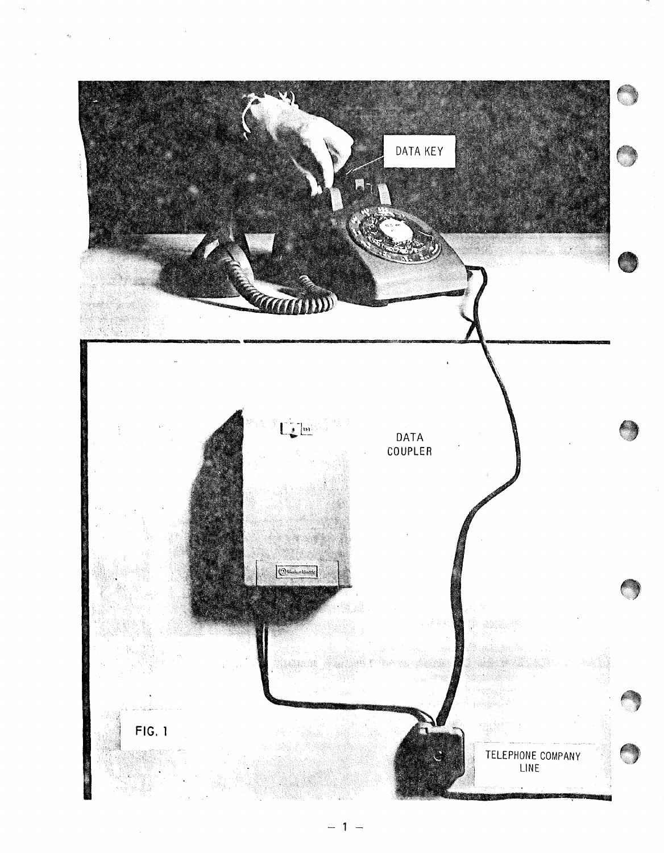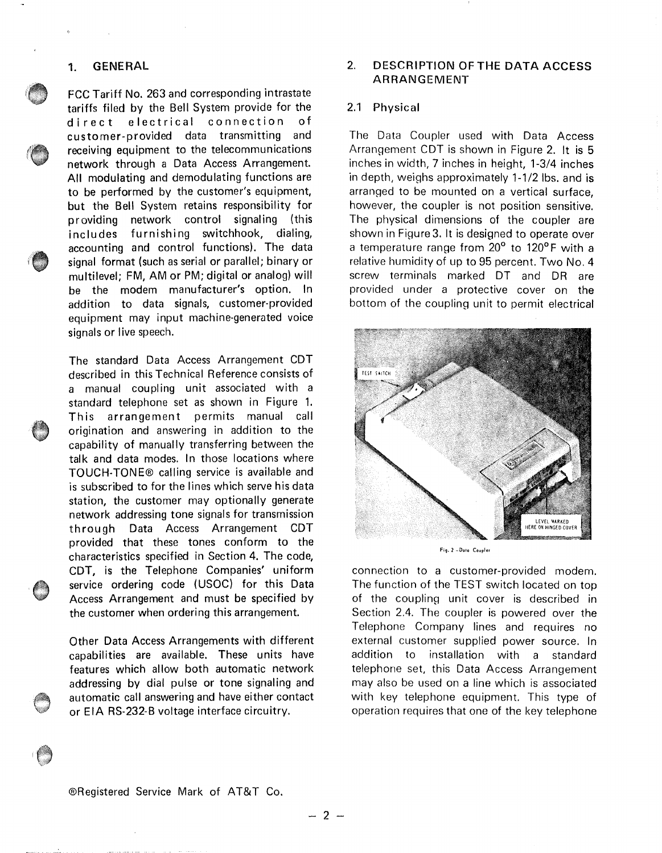#### **1. GENERAL**

FCC Tariff No. 263 and corresponding intrastate tariffs filed by the Bell System provide for the direct electrical connection of customer-provided data transmitting and receiving equipment to the telecommunications network through a Data Access Arrangement. All modulating and demodulating functions are to be performed by the customer's equipment, but the Bell System retains responsibility for providing network control signaling (this includes furnishing switchhook, dialing, accounting and control functions). The data signal format (such as serial or parallel; binary or multilevel; FM, AM or PM; digital or analog) will be the modem manufacturer's option. In addition to data signals, customer-provided equipment may input machine-generated voice signals or live speech.

The standard Data Access Arrangement CDT described in this Technical Reference consists of a manual coupling unit associated with a standard telephone set as shown in Figure 1. This arrangement permits manual call origination and answering in addition to the capability of manually transferring between the talk and data modes. In those locations where TOUCH-TONE® calling service is available and is subscribed to for the lines which serve his data station, the customer may optionally generate network addressing tone signals for transmission through Data Access Arrangement CDT provided that these tones conform to the characteristics specified in Section 4. The code, CDT, is the Telephone Companies' uniform service ordering code (USOC) for this Data Access Arrangement and must be specified by the customer when ordering this arrangement.

Other Data Access Arrangements with different capabilities are available. These units have features which allow both automatic network addressing by dial pulse or tone signaling and automatic call answering and have either contact or EIA RS-232-B voltage interface circuitry.

# 2. DESCRIPTION OF THE DATA ACCESS ARRANGEMENT

#### 2.1 Physical

The Data Coupler used with Data Access Arrangement CDT is shown in Figure 2. It is 5 inches in width, 7 inches in height, 1-3/4 inches in depth, weighs approximately 1-1/2 lbs, and is arranged to be mounted on a vertical surface, however, the coupler is not position sensitive. The physical dimensions of the coupler are shown in Figure 3. It is designed to operate over a temperature range from 20° to 120°F with a relative humidity of up to 95 percent. Two No. 4 screw terminals marked OT and DR are provided under a protective cover on the bottom of the coupling unit to permit electrical



#### Fig, 2 -Doto Coupler

connection to a customer-provided modem. The function of the TEST switch located on top of the coupling unit cover is described in Section 2.4. The coupler is powered over the Telephone Company lines and requires no external customer supplied power source. In addition to installation with a standard telephone set, this Data Access Arrangement may also be used on a line which is associated with key telephone equipment. This type of operation requires that one of the key telephone

®Registered Service Mark of AT&T Co.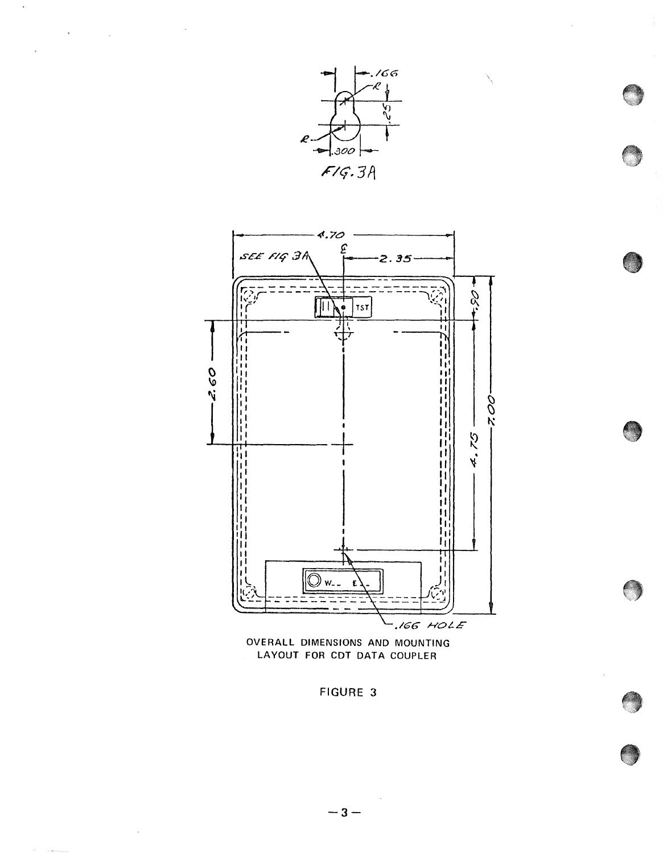

 $\mathcal{A}^{\mathcal{A}}$  and  $\mathcal{A}^{\mathcal{A}}$  . In the  $\mathcal{A}^{\mathcal{A}}$ 

\



FIGURE 3

 $\bar{\beta}$ 

 $\hat{\boldsymbol{\beta}}$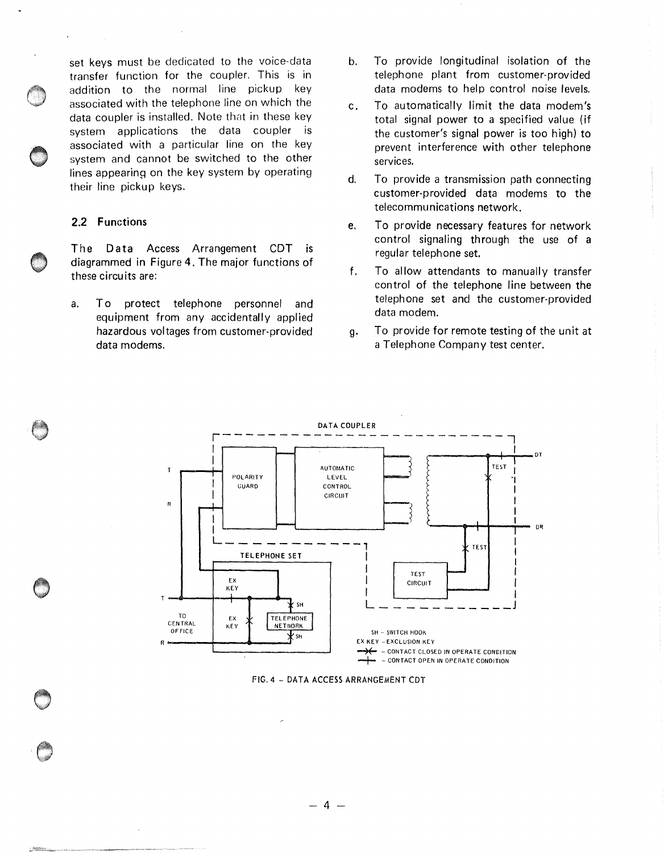set keys must be dedicated to the voice-data transfer function for the coupler. This is in addition to the normal line pickup key associated with the telephone line on which the data coupler is installed. Note that in these key system applications the data coupler is associated with a particular line on the key system and cannot be switched to the other lines appearing on the key system by operating their line pickup keys.

## **2.2 Functions**

 $\mathcal{L}_{\mathrm{eff}}$ 

The Data Access Arrangement CDT is diagrammed in Figure 4. The major functions of these circuits are:

a. To protect telephone personnel and equipment from any accidentally applied hazardous voltages from customer-provided data modems.

- b. To provide longitudinal isolation of the telephone plant from customer-provided data modems to help control noise levels.
- c. To automatically limit the data modem's total signal power to a specified value (if the customer's signal power is too high) to prevent interference with other telephone services.
- d. To provide a transmission path connecting customer-provided data modems to the telecommunications network.
- e. To provide necessary features for network control signaling through the use of a regular telephone set.
- f. To allow attendants to manually transfer control of the telephone line between the telephone set and the customer-provided data modem.
- g. To provide for remote testing of the unit at a Telephone Company test center.



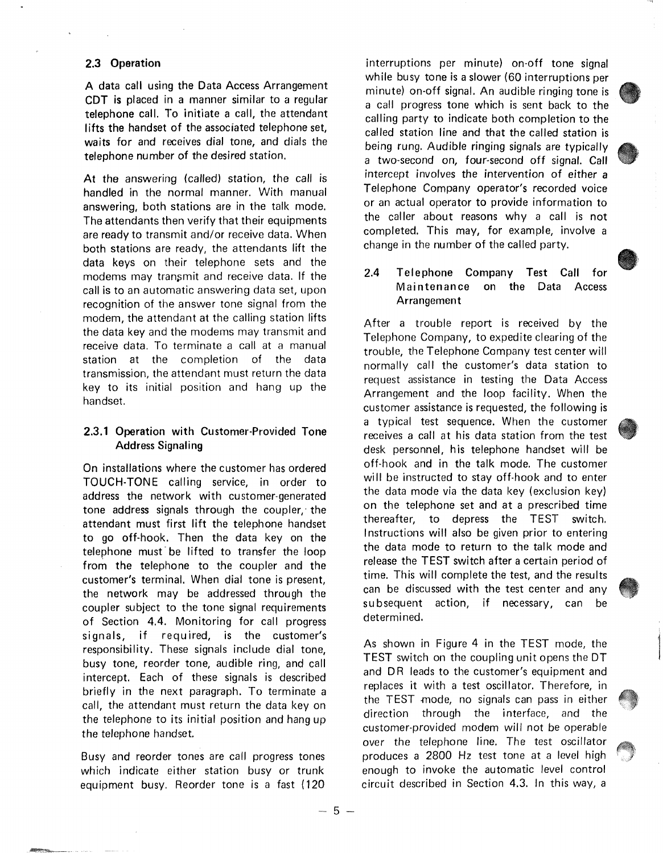#### 2.3 Operation

A data call using the Data Access Arrangement CDT is placed in a manner similar to a regular telephone call. To initiate a call, the attendant lifts the handset of the associated telephone set, **waits** for and receives dial tone, and dials the telephone number of the desired station.

**At** the answering (called) station, the call is handled in the normal manner. With manual answering, both stations are in the talk mode, The attendants then verify that their equipments are ready to transmit and/or receive data. When both stations are ready, the attendants lift the data keys on their telephone sets and the modems may transmit and receive data. If the call is to an automatic answering data set, upon recognition of the answer tone signal from the modem, the attendant at the calling station lifts the data key and the modems may transmit and receive data. To terminate a call at a manual station at the completion of the data transmission, the attendant must return the data key to its initial position and hang up the handset.

## **2.3.1** Operation with Customer-Provided Tone **Address Signaling**

On installations where the customer has ordered TOUCH-TONE calling service, in order to address the network with customer-generated tone address signals through the coupler, the attendant must first lift the telephone handset to go off-hook. Then the data key on the telephone must· be lifted to transfer the loop from the telephone to the coupler and the customer's terminal. When dial tone is present, the network may be addressed through the coupler subject to the tone signal requirements of Section **4.4.** Monitoring for call progress signals, if required, is the customer's responsibility, These signals include dial tone, busy tone, reorder tone, audible ring, and call intercept. Each of these signals is described briefly in the next paragraph. To terminate a call, the attendant must return the data key on the telephone to its initial position and hang up the telephone handset.

Busy and reorder tones are call progress tones which indicate either station busy or trunk equipment busy. Reorder tone is a fast (120

interruptions per minute) on-off tone signal while busy tone is a slower (60 interruptions per minute) on-off signal. An audible ringing tone is a call progress tone which is sent back to the calling party to indicate both completion to the called station line and that the called station is being rung. Audible ringing signals are typically a two-second on, four-second off signal. Call intercept involves the intervention of either a Telephone Company operator's recorded voice or an actual operator to provide information to the caller about reasons why a call is not completed. This may, for example, involve a change in the number of the called party.

# **2.4 Telephone Company Test Call for Maintenance on the Data Access Arrangement**

After a trouble report is received by the Telephone Company, to expedite clearing of the trouble, the Telephone Company test center will normally call the customer's data station to request assistance in testing the Data Access Arrangement and the loop facility. When the customer assistance is requested, the following is a typical test sequence. When the customer receives a call at his data station from the test desk personnel, his telephone handset will be off-hook and in the talk mode. The customer will be instructed to stay off-hook and to enter the data mode via the data key (exclusion key) on the telephone set and at a prescribed time thereafter, to depress the TEST switch. Instructions will also be given prior to entering the data mode to return to the talk mode and release the TEST switch after a certain period of time. This will complete the test, and the results can be discussed with the test center and any subsequent action, if necessary, can be determined.

As shown in Figure 4 in the TEST mode, the TEST switch on the coupling unit opens the DT and DR leads to the customer's equipment and replaces it with a test oscillator. Therefore, in the TEST *mode,* no signals can pass in either direction through the interface, and the customer-provided modem will not be operable over the telephone line. The test oscillator produces a 2800 Hz test tone at a level high enough to invoke the automatic level control circuit described in Section 4.3. In this way, a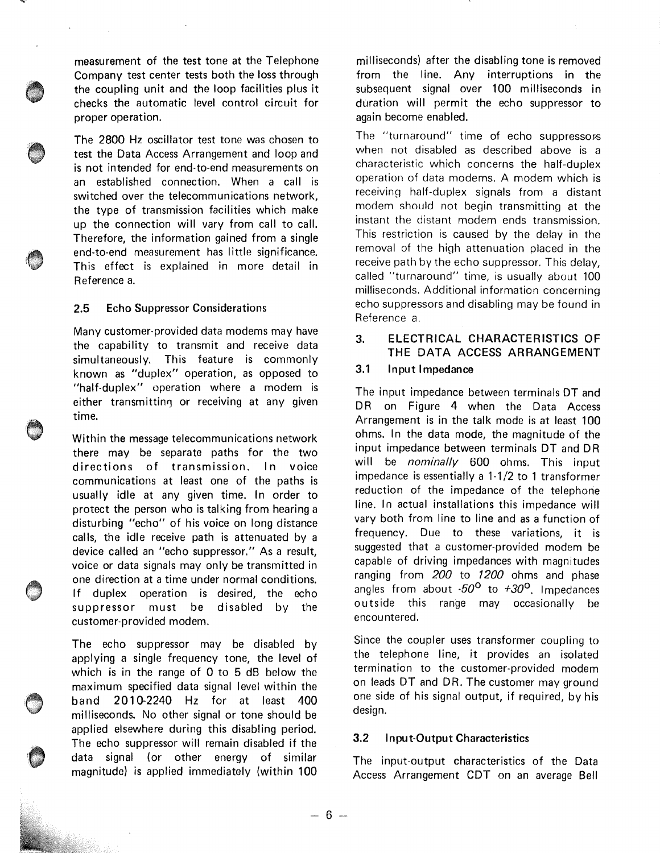measurement of the test tone at the Telephone Company test center tests both the loss through the coupling unit and the loop facilities plus it checks the automatic level control circuit for proper operation.

The 2800 Hz oscillator test tone was chosen to test the Data Access Arrangement and loop and is not intended for end-to-end measurements on an established connection. When a call is switched over the telecommunications network, the type of transmission facilities which make up the connection will vary from call to call. Therefore, the information gained from a single end-to-end measurement has little significance. This effect is explained in more detail in Reference a.

#### 2.5 Echo Suppressor Considerations

Many customer-provided data modems may have the capability to transmit and receive data simultaneously. This feature is commonly known as "duplex" operation, as opposed to "half-duplex" operation where a modem is either transmitting or receiving at any given time.

Within the message telecommunications network there may be separate paths for the two directions of transmission. In voice communications at least one of the paths is usually idle at any given time. In order to protect the person who is talking from hearing a disturbing "echo" of his voice on long distance calls, the idle receive path is attenuated by a device called an "echo suppressor." As a result, voice or data signals may only be transmitted in one direction at a time under normal conditions. If duplex operation is desired, the echo suppressor must be disabled by the customer-provided modem.

The echo suppressor may be disabled by applying a single frequency tone, the level of which is in the range of 0 to 5 dB below the maximum specified data signal level within the band 2010-2240 Hz for at least 400 milliseconds. No other signal or tone should be applied elsewhere during this disabling period. The echo suppressor will remain disabled if the data signal (or other energy of similar magnitude) is applied immediately (within **100** 

milliseconds) after the disabling tone is removed from the line. Any interruptions in the subsequent signal over 100 milliseconds in duration will permit the echo suppressor to again become enabled.

The "turnaround" time of echo suppressors when not disabled as described above is a characteristic which concerns the half-duplex operation of data modems. A modem which is receiving half-duplex signals from a distant modem should not begin transmitting at the instant the distant modem ends transmission. This restriction is caused by the delay in the removal of the high attenuation placed in the receive path by the echo suppressor. This delay, called "turnaround" time, is usually about 100 milliseconds. Additional information concerning echo suppressors and disabling may be found in Reference a.

# **3. ELECTRICAL CHARACTERISTICS OF THE DATA ACCESS ARRANGEMENT**

#### 3.1 Input Impedance

The input impedance between terminals OT and DR on Figure **4** when the Data Access Arrangement is in the talk mode is at least 100 ohms. In the data mode, the magnitude of the input impedance between terminals OT and DR will be *nominally* 600 ohms. This input impedance is essentially a 1-1/2 to 1 transformer reduction of the impedance of the telephone line. In actual installations this impedance will vary both from line to line and as a function of frequency. Due to these variations, it is suggested that a customer-provided modem be capable of driving impedances with magnitudes ranging from 200 to 1200 ohms and phase angles from about *-50°* to *+30°.* Impedances outside this range may occasionally be encountered.

Since the coupler uses transformer coupling to the telephone line, it provides an isolated termination to the customer-provided modem on leads DT and DR. The customer may ground one side of his signal output, if required, by his design.

## 3.2 Input-Output Characteristics

The input-output characteristics of the Data Access Arrangement CDT on an average Bell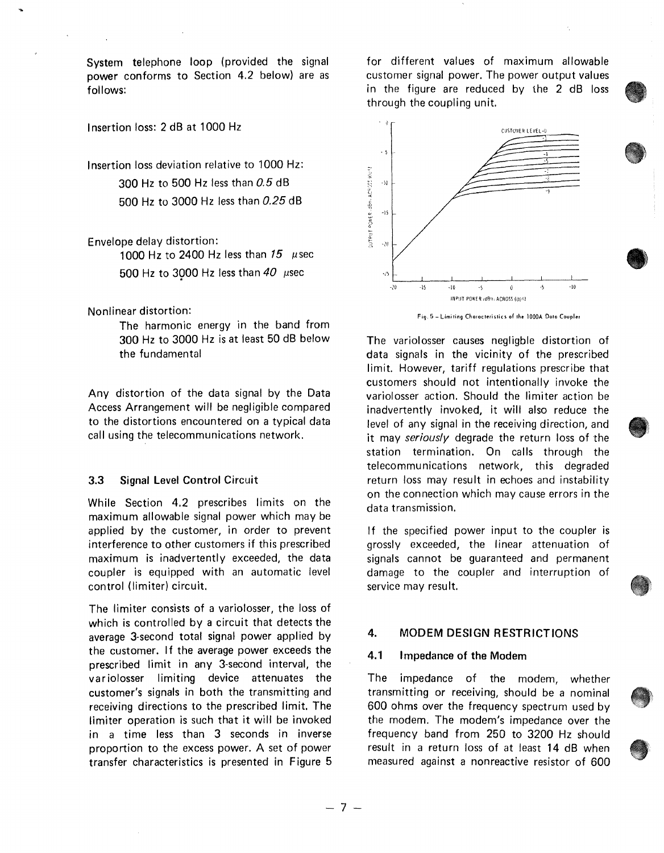System telephone loop (provided the signal power conforms to Section 4.2 below) are as follows:

## Insertion loss: 2 dB at 1000 Hz

Insertion loss deviation relative to 1000 Hz: 300 Hz to 500 Hz less than *0.5* dB 500 Hz to 3000 Hz less than *0.25* dB

#### Envelope delay distortion:

1000 Hz to 2400 Hz less than  $15 \mu$ sec 500 Hz to 3000 Hz less than  $40\ \mu sec$ 

Nonlinear distortion:

The harmonic energy in the band from 300 Hz to 3000 Hz is at least 50 dB below the fundamental

Any distortion of the data signal by the Data Access Arrangement will be negligible compared to the distortions encountered on a typical data call using the telecommunications network.

#### **3.3 Signal Level Control** Circuit

While Section **4.2** prescribes limits on the maximum allowable signal power which may be applied by the customer, in order to prevent interference to other customers if this prescribed maximum is inadvertently exceeded, the data coupler is equipped with an automatic level control (limiter) circuit.

The limiter consists of a variolosser, the loss of which is controlled by a circuit that detects the average 3-second total signal power applied by the customer. If the average power exceeds the prescribed limit in any 3-second interval, the variolosser limiting device attenuates the customer's signals in both the transmitting and receiving directions to the prescribed limit. The limiter operation is such that it will be invoked in a time less than 3 seconds in inverse proportion to the excess power. A set of power transfer characteristics is presented in Figure 5

for different values of maximum allowable customer signal power. The power output values in the figure are reduced by the 2 dB loss through the coupling unit.



The variolosser causes negligble distortion of data signals in the vicinity of the prescribed limit. However, tariff regulations prescribe that customers should not intentionally invoke the variolosser action. Should the limiter action be inadvertently invoked, it will also reduce the level of any signal in the receiving direction, and it may *seriously* degrade the return loss of the station termination. On calls through the telecommunications network, this degraded return loss may result in echoes and instability on the connection which may cause errors in the data transmission.

If the specified power input to the coupler is grossly exceeded, the linear attenuation of signals cannot be guaranteed and permanent damage to the coupler and interruption of service may result.

# **4. MODEM DESIGN RESTRICTIONS**

#### **4.1 Impedance of the Modem**

The impedance of the modem, whether transmitting or receiving, should be a nominal 600 ohms over the frequency spectrum used by the modem. The modem's impedance over the frequency band from 250 to 3200 Hz should result in a return loss of at least 14 dB when measured against a nonreactive resistor of 600

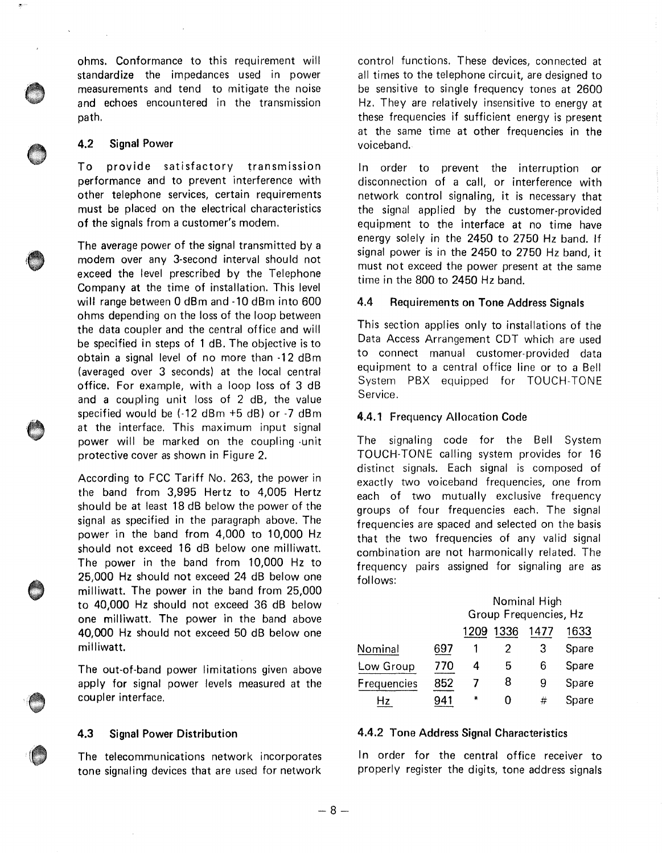ohms. Conformance to this requirement will standardize the impedances used in power measurements and tend to mitigate the noise and echoes encountered in the transmission path.

#### 4.2 Signal Power

To provide satisfactory transmission performance and to prevent interference with other telephone services, certain requirements must be placed on the electrical characteristics of the signals from a customer's modem.

The average power of the signal transmitted by a modem over any 3-second interval should not exceed the level prescribed by the Telephone Company at the time of installation. This level will range between O dBm and -10 dBm into 600 ohms depending on the loss of the loop between the data coupler and the central office and will be specified in steps of 1 dB. The objective is to obtain a signal level of no more than **-12** dBm (averaged over 3 seconds) at the local central office. For example, with a loop loss of 3 dB and a coupling unit loss of 2 dB, the value specified would be (-12 dBm +5 dB) or -7 dBm at the interface. This maximum input signal power will be marked on the coupling -unit protective cover as shown in Figure 2.

According to FCC Tariff No. 263, the power in the band from 3,995 Hertz to 4,005 Hertz should be at least 18 dB below the power of the signal as specified in the paragraph above. The power in the band from 4,000 to 10,000 Hz should not exceed 16 dB below one milliwatt. The power in the band from 10,000 Hz to 25,000 Hz should not exceed 24 dB below one milliwatt. The power in the band from 25,000 to 40,000 Hz should not exceed 36 dB below one milliwatt. The power in the band above 40,000 Hz should not exceed 50 dB below one milliwatt.

The out-of-band power limitations given above apply for signal power levels measured at the coupler interface.

#### 4.3 Signal Power Distribution

The telecommunications network incorporates tone signaling devices that are used for network

control functions. These devices, connected at all times to the telephone circuit, are designed to be sensitive to single frequency tones at 2600 Hz. They are relatively insensitive to energy at these frequencies if sufficient energy is present at the same time at other frequencies in the voiceband.

In order to prevent the interruption or disconnection of a call, or interference with network control signaling, it is necessary that the signal applied by the customer-provided equipment to the interface at no time have energy solely in the 2450 to 2750 Hz band. If signal power is in the 2450 to 2750 Hz band, it must not exceed the power present at the same time in the 800 to 2450 Hz band.

#### **4.4 Requirements on Tone Address Signals**

This section applies only to installations of the Data Access Arrangement CDT which are used to connect manual customer-provided data equipment to a central office line or to a Bell System PBX equipped for TOUCH-TONE Service.

#### **4.4.1** Frequency Allocation Code

The signaling code for the Bell System TOUCH-TONE calling system provides for 16 distinct signals. Each signal is composed of exactly two voiceband frequencies, one from each of two mutually exclusive frequency groups of four frequencies each. The signal frequencies are spaced and selected on the basis that the two frequencies of any valid signal combination are not harmonically related. The frequency pairs assigned for signaling are as follows:

|             |     | Nominal High<br>Group Frequencies, Hz |      |      |       |
|-------------|-----|---------------------------------------|------|------|-------|
|             |     | 1209                                  | 1336 | 1477 | 1633  |
| Nominal     | 697 |                                       |      | З    | Spare |
| Low Group   | 770 |                                       | 5    | 6    | Spare |
| Frequencies | 852 |                                       | 8    | 9    | Spare |
| Ηz          | 941 | ₩                                     |      | #    | Spare |

#### 4.4.2 Tone Address Signal Characteristics

In order for the central office receiver to properly register the digits, tone address signals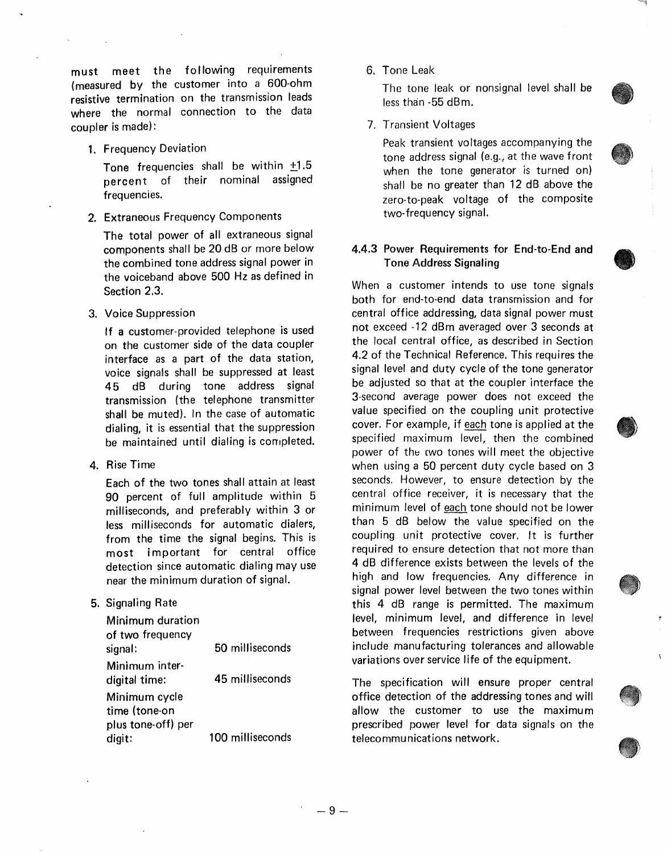must meet the following requirements (measured by the customer into a 600-ohm resistive termination on the transmission leads where the normal connection to the data coupler is made):

1. Frequency Deviation

Tone frequencies shall be within +1.5 percent of their nominal assigned frequencies.

2. Extraneous Frequency Components

The total power of all extraneous signal components shall be 20 dB or more below the combined tone address signal power in the voiceband above 500 Hz as defined in Section 2.3.

3. Voice Suppression

If a customer-provided telephone is used on the customer side of the data coupler interface as a part of the data station, voice signals shall be suppressed at least **4** 5 dB during tone address signal transmission (the telephone transmitter shall be muted). In the case of automatic dialing, it is essential that the suppression be maintained until dialing is completed.

**4.** Rise Time

Each of the two tones shall attain at least 90 percent of full amplitude within 5 milliseconds, and preferably within 3 or less milliseconds for automatic dialers, from the time the signal begins. This is most important for central office detection since automatic dialing may use near the minimum duration of signal.

**5.** Signaling Rate

| <b>Minimum duration</b><br>of two frequency          |                  |
|------------------------------------------------------|------------------|
| signal:                                              | 50 milliseconds  |
| Minimum inter-<br>digital time:                      | 45 milliseconds  |
| Minimum cycle<br>time (tone-on<br>plus tone-off) per |                  |
| digit:                                               | 100 milliseconds |

6. Tone Leak

The tone leak or nonsignal level shall be less than -55 dBm.

7. Transient Voltages

Peak transient voltages accompanying the tone address signal (e.g., at the wave front when the tone generator is turned on) shall be no greater than 12 dB above the zero-to-peak voltage of the composite two-frequency signal.

## **4.4.3 Power Requirements for End-to-End and Tone Address Signaling**

When a customer intends to use tone signals both for end-to-end data transmission and for central office addressing, data signal power must not exceed -12 dBm averaged over 3 seconds at the local central office, as described in Section 4.2 of the Technical Reference. This requires the signal level and duty cycle of the tone generator be adjusted so that at the coupler interface the 3-second average power does not exceed the value specified on the coupling unit protective cover. For example, if each tone is applied at the specified maximum level, then the combined power of the two tones will meet the objective when using a 50 percent duty cycle based on 3 seconds. However, to ensure detection by the central office receiver, it is necessary that the minimum level of each tone should not be lower than 5 dB below the value specified on the coupling unit protective cover. It is further required to ensure detection that not more than 4 dB difference exists between the levels of the high and low frequencies. Any difference in signal power level between the two tones within this 4 dB range is permitted. The maximum level, minimum level, and difference in level between frequencies restrictions given above include manufacturing tolerances and allowable variations over service life of the equipment.

The specification will ensure proper central office detection of the addressing tones and will allow the customer to use the maximum prescribed power level for data signals on the telecommunications network.

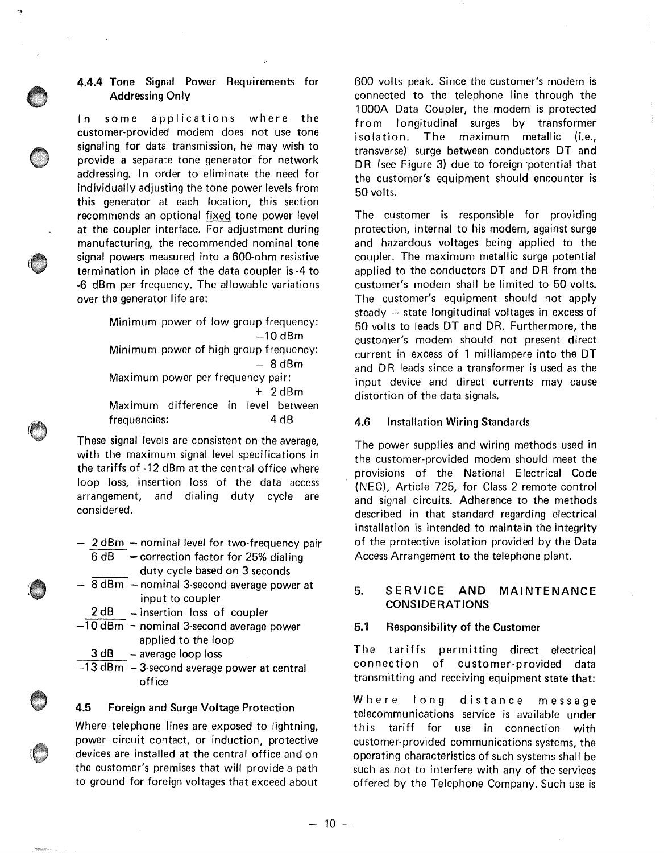#### **4.4.4** Tone Signal Power Requirements for **Addressing Only**

In some applications where the customer-provided modem does not use tone signaling for data transmission, he may wish to provide a separate tone generator for network addressing. In order to eliminate the need for individually adjusting the tone power levels from this generator at each location, this section recommends an optional fixed tone power level at the coupler interface. For adjustment during manufacturing, the recommended nominal tone signal powers measured into a 600-ohm resistive termination in place of the data coupler is -4 to -6 dBm per frequency. The allowable variations over the generator life are:

> Minimum power of low group frequency:  $-10$  dBm Minimum power of high group frequency:  $-8$ d $Bm$ Maximum power per frequency pair:  $+ 2$ d $Bm$ Maximum difference in level between frequencies: 4 dB

These signal levels are consistent on the average, with the maximum signal level specifications in the tariffs of -12 dBm at the central office where loop loss, insertion loss of the data access arrangement, and dialing duty cycle are considered.

- $-2$  dBm  $-$  nominal level for two-frequency pair  $6$  dB  $-$  correction factor for 25% dialing
	- duty cycle based on 3 seconds
- $-$  8 dBm  $-$  nominal 3-second average power at input to coupler
	- 2 dB insertion loss of coupler
- $-10$  dBm  $-$  nominal 3-second average power applied to the loop
- $3 dB average loop loss$
- $-13$  dBm  $-3$ -second average power at central office

## 4.5 Foreign and Surge Voltage Protection

Where telephone lines are exposed to lightning, power circuit contact, or induction, protective devices are installed at the central office and on the customer's premises that will provide a path to ground for foreign voltages that exceed about

600 volts peak. Since the customer's modem is connected to the telephone line through the 1000A Data Coupler, the modem is protected from longitudinal surges by transformer isolation. The maximum metallic (i.e., transverse) surge between conductors OT and DR (see Figure 3) due to foreign potential that the customer's equipment should encounter is 50 volts.

The customer is responsible for providing protection, internal to his modem, against surge and hazardous voltages being applied to the coupler. The maximum metallic surge potential applied to the conductors OT and DR from the customer's modem shall be limited to 50 volts. The customer's equipment should not apply steady  $-$  state longitudinal voltages in excess of 50 volts to leads OT and DR. Furthermore, the customer's modem should not present direct current in excess of 1 milliampere into the OT and DR leads since a transformer is used as the input device and direct currents may cause distortion of the data signals.

#### **4.6 Installation Wiring Standards**

The power supplies and wiring methods used in the customer-provided modem should meet the provisions of the National Electrical Code (NEC), Article 725, for Class 2 remote control and signal circuits. Adherence to the methods described in that standard regarding electrical installation is intended to maintain the integrity of the protective isolation provided by the Data Access Arrangement to the telephone plant.

## **5. SERVICE AND MAINTENANCE CONSIDERATIONS**

## **5.1 Responsibility of the Customer**

The tariffs permitting direct electrical connection of customer-provided data transmitting and receiving equipment state that:

Where long distance message telecommunications service is available under this tariff for use in connection with customer-provided communications systems, the operating characteristics of such systems shall be such as not to interfere with any of the services offered by the Telephone Company. Such use is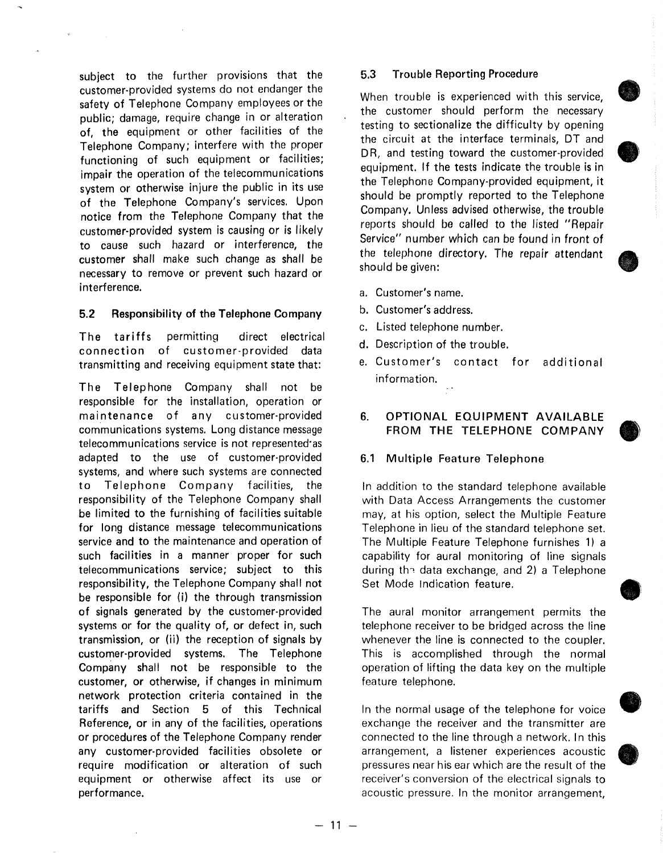subject to the further provisions that the customer-provided systems do not endanger the safety of Telephone Company employees or the public; damage, require change in or alteration of, the equipment or other facilities of the Telephone Company; interfere with the proper functioning of such equipment or facilities; impair the operation of the telecommunications system or otherwise injure the public in its use of the Telephone Company's services. Upon notice from the Telephone Company that the customer-provided system is causing or is likely to cause such hazard or interference, the customer shall make such change as shall be necessary to remove or prevent such hazard or interference.

## **5.2 Responsibility of the Telephone Company**

The tariffs permitting direct electrical connection of customer-provided data transmitting and receiving equipment state that:

The Telephone Company shall not be responsible for the installation, operation or maintenance of any customer-provided communications systems. Long distance message telecommunications service is not represented·as adapted to the use of customer-provided systems, and where such systems are connected to Telephone Company facilities, the responsibility of the Telephone Company shall be limited to the furnishing of facilities suitable for long distance message telecommunications service and to the maintenance and operation of such facilities in a manner proper for such telecommunications service; subject to this responsibility, the Telephone Company shall not be responsible for (i) the through transmission of signals generated by the customer-provided systems or for the quality of, or defect in, such transmission, or (ii) the reception of signals by customer-provided systems. The Telephone Company shall not be responsible to the customer, or otherwise, if changes in minimum network protection criteria contained in the tariffs and Section 5 of this Technical Reference, or in any of the facilities, operations or procedures of the Telephone Company render any customer-provided facilities obsolete or require modification or alteration of such equipment or otherwise affect its use or performance.

#### 5.3 Trouble Reporting Procedure

When trouble is experienced with this service, the customer should perform the necessary testing to sectionalize the difficulty by opening the circuit at the interface terminals, DT and DR, and testing toward the customer-provided equipment. If the tests indicate the trouble is in the Telephone Company-provided equipment, it should be promptly reported to the Telephone Company. Unless advised otherwise, the trouble reports should be called to the listed "Repair Service" number which can be found in front of the telephone directory, The repair attendant should be given:

**b** 

**•** 

**•** 

**•** 

 $\bigcirc$ 

- a. Customer's name.
- b. Customer's address.
- **C,** Listed telephone number.
- d. Description of the trouble.
- e. Customer's contact for additional information.

# **6. OPTIONAL EQUIPMENT AVAILABLE FROM THE TELEPHONE COMPANY**

# **6.1 Multiple Feature Telephone**

In addition to the standard telephone available with Data Access Arrangements the customer may, at his option, select the Multiple Feature Telephone in lieu of the standard telephone set. The Multiple Feature Telephone furnishes 1) a capability for aural monitoring of line signals during the data exchange, and 2) a Telephone Set Mode Indication feature.

The aural monitor arrangement permits the telephone receiver to be bridged across the line whenever the line is connected to the coupler. This is accomplished through the normal operation of lifting the data key on the multiple feature telephone.

In the normal usage of the telephone for voice exchange the receiver and the transmitter are connected to the line through a network. In this arrangement, a listener experiences acoustic pressures near his ear which are the result of the receiver's conversion of the electrical signals to acoustic pressure. In the monitor arrangement,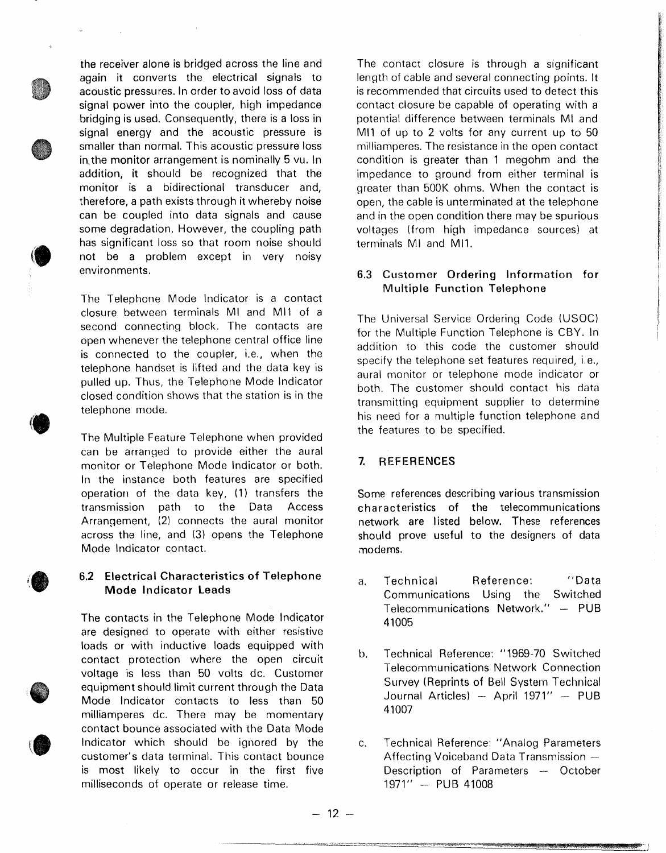the receiver alone is bridged across the line and again it converts the electrical signals to acoustic pressures. In order to avoid loss of data signal power into the coupler, high impedance bridging is used. Consequently, there is a loss in signal energy and the acoustic pressure is smaller than normal. This acoustic pressure loss in the monitor arrangement is nominally 5 vu. In addition, it should be recognized that the monitor is a bidirectional transducer and, therefore, a path exists through it whereby noise can be coupled into data signals and cause some degradation. However, the coupling path has significant loss so that room noise should not be a problem except in very noisy environments.

The Telephone Mode Indicator is a contact closure between terminals Ml and Ml1 of a second connecting block. The contacts are open whenever the telephone central office line is connected to the coupler, i.e., when the telephone handset is lifted and the data key is pulled up. Thus, the Telephone Mode Indicator closed condition shows that the station is in the telephone mode.

The Multiple Feature Telephone when provided can be arranged to provide either the aural monitor or Telephone Mode Indicator or both. In the instance both features are specified operation of the data key, (1) transfers the transmission path to the Data Access Arrangement, (2) connects the aural monitor across the line, and (3) opens the Telephone Mode Indicator contact.

## **6.2 Electrical Characteristics of Telephone Mode Indicator Leads**

The contacts in the Telephone Mode Indicator are designed to operate with either resistive loads or with inductive loads equipped with contact protection where the open circuit voltage is less than 50 volts de. Customer equipment should limit current through the Data Mode Indicator contacts to less than 50 milliamperes de. There may be momentary contact bounce associated with the Data Mode Indicator which should be ignored by the customer's data terminal. This contact bounce is most likely to occur in the first five milliseconds of operate or release time.

The contact closure is through a significant length of cable and several connecting points. It is recommended that circuits used to detect this contact closure be capable of operating with a potential difference between terminals Ml and MI1 of up to 2 volts for any current up to 50 milliamperes. The resistance in the open contact condition is greater than 1 megohm and the impedance to ground from either terminal is greater than 500K ohms. When the contact is open, the cable is unterminated at the telephone and in the open condition there may be spurious voltages (from high impedance sources) at terminals Ml and Ml1.

# **6.3 Customer Ordering Information for Multiple Function Telephone**

The Universal Service Ordering Code (USOC) for the Multiple Function Telephone is CBY. In addition to this code the customer should specify the telephone set features required, i.e., aural monitor or telephone mode indicator or both. The customer should contact his data transmitting equipment supplier to determine his need for a multiple function telephone and the features to be specified.

# **7. REFERENCES**

Some references describing various transmission characteristics of the telecommunications network are listed below. These references should prove useful to the designers of data modems.

- a. Technical Reference: "Data Communications Using the Switched Telecommunications Network." - PUB 41005
- b. Technical Reference: "1969-70 Switched Telecommunications Network Connection Survey (Reprints of Bell System Technical Journal Articles) - April 1971" - PUB 41007
- c. Technical Reference: "Analog Parameters Affecting Voiceband Data Transmission -Description of Parameters - October 1971" - PUB 41008

 $- 12 -$